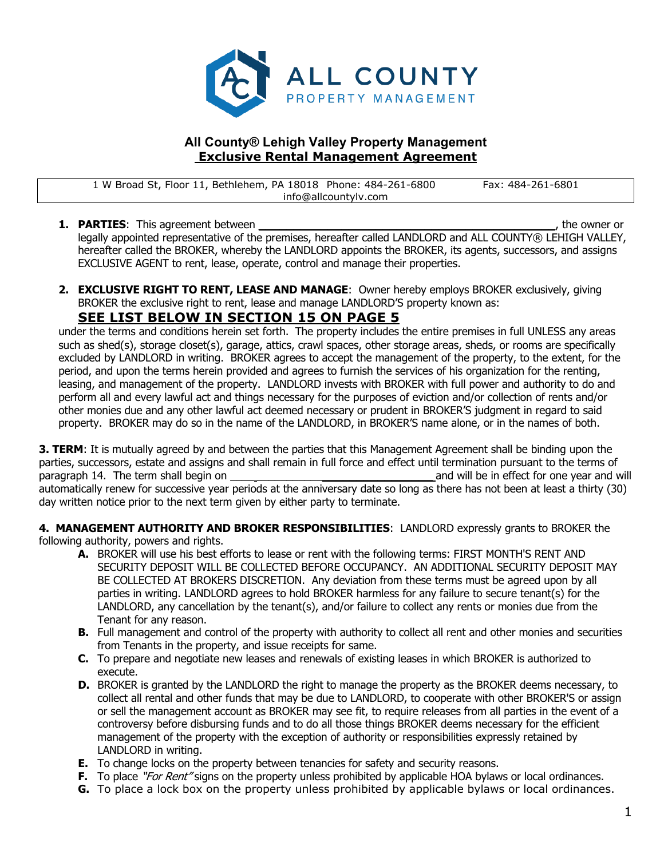

## **All County® Lehigh Valley Property Management Exclusive Rental Management Agreement**

1 W Broad St, Floor 11, Bethlehem, PA 18018 Phone: 484-261-6800 Fax: 484-261-6801 info@allcountylv.com

- **1. PARTIES**: This agreement between **the example of the owner of the owner or**  $\mathbf{r}$ , the owner or legally appointed representative of the premises, hereafter called LANDLORD and ALL COUNTY® LEHIGH VALLEY, hereafter called the BROKER, whereby the LANDLORD appoints the BROKER, its agents, successors, and assigns EXCLUSIVE AGENT to rent, lease, operate, control and manage their properties.
- **2. EXCLUSIVE RIGHT TO RENT, LEASE AND MANAGE**: Owner hereby employs BROKER exclusively, giving BROKER the exclusive right to rent, lease and manage LANDLORD'S property known as:

# **SEE LIST BELOW IN SECTION 15 ON PAGE 5**

under the terms and conditions herein set forth.The property includes the entire premises in full UNLESS any areas such as shed(s), storage closet(s), garage, attics, crawl spaces, other storage areas, sheds, or rooms are specifically excluded by LANDLORD in writing. BROKER agrees to accept the management of the property, to the extent, for the period, and upon the terms herein provided and agrees to furnish the services of his organization for the renting, leasing, and management of the property. LANDLORD invests with BROKER with full power and authority to do and perform all and every lawful act and things necessary for the purposes of eviction and/or collection of rents and/or other monies due and any other lawful act deemed necessary or prudent in BROKER'S judgment in regard to said property. BROKER may do so in the name of the LANDLORD, in BROKER'S name alone, or in the names of both.

**3. TERM**: It is mutually agreed by and between the parties that this Management Agreement shall be binding upon the parties, successors, estate and assigns and shall remain in full force and effect until termination pursuant to the terms of paragraph 14. The term shall begin on **the state of the state of the state of the state of the state of the state of the state of the state of the state of the state of the state of the state of the state of the state of t** automatically renew for successive year periods at the anniversary date so long as there has not been at least a thirty (30) day written notice prior to the next term given by either party to terminate.

**4. MANAGEMENT AUTHORITY AND BROKER RESPONSIBILITIES**: LANDLORD expressly grants to BROKER the following authority, powers and rights.

- **A.** BROKER will use his best efforts to lease or rent with the following terms: FIRST MONTH'S RENT AND SECURITY DEPOSIT WILL BE COLLECTED BEFORE OCCUPANCY. AN ADDITIONAL SECURITY DEPOSIT MAY BE COLLECTED AT BROKERS DISCRETION. Any deviation from these terms must be agreed upon by all parties in writing. LANDLORD agrees to hold BROKER harmless for any failure to secure tenant(s) for the LANDLORD, any cancellation by the tenant(s), and/or failure to collect any rents or monies due from the Tenant for any reason.
- **B.** Full management and control of the property with authority to collect all rent and other monies and securities from Tenants in the property, and issue receipts for same.
- **C.** To prepare and negotiate new leases and renewals of existing leases in which BROKER is authorized to execute.
- **D.** BROKER is granted by the LANDLORD the right to manage the property as the BROKER deems necessary, to collect all rental and other funds that may be due to LANDLORD, to cooperate with other BROKER'S or assign or sell the management account as BROKER may see fit, to require releases from all parties in the event of a controversy before disbursing funds and to do all those things BROKER deems necessary for the efficient management of the property with the exception of authority or responsibilities expressly retained by LANDLORD in writing.
- **E.** To change locks on the property between tenancies for safety and security reasons.
- **F.** To place "*For Rent"* signs on the property unless prohibited by applicable HOA bylaws or local ordinances.
- **G.** To place a lock box on the property unless prohibited by applicable bylaws or local ordinances.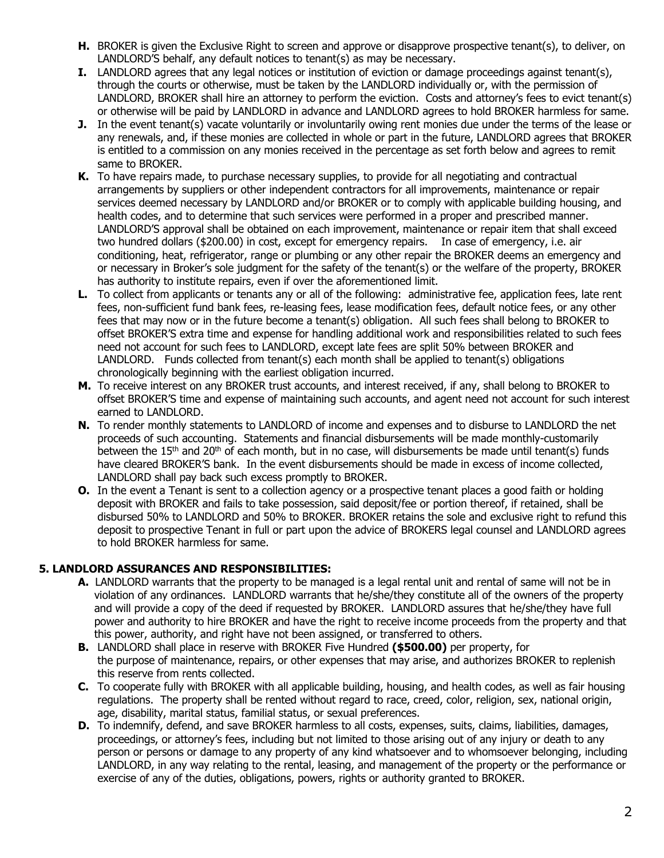- **H.** BROKER is given the Exclusive Right to screen and approve or disapprove prospective tenant(s), to deliver, on LANDLORD'S behalf, any default notices to tenant(s) as may be necessary.
- **I.** LANDLORD agrees that any legal notices or institution of eviction or damage proceedings against tenant(s), through the courts or otherwise, must be taken by the LANDLORD individually or, with the permission of LANDLORD, BROKER shall hire an attorney to perform the eviction. Costs and attorney's fees to evict tenant(s) or otherwise will be paid by LANDLORD in advance and LANDLORD agrees to hold BROKER harmless for same.
- **J.** In the event tenant(s) vacate voluntarily or involuntarily owing rent monies due under the terms of the lease or any renewals, and, if these monies are collected in whole or part in the future, LANDLORD agrees that BROKER is entitled to a commission on any monies received in the percentage as set forth below and agrees to remit same to BROKER.
- **K.** To have repairs made, to purchase necessary supplies, to provide for all negotiating and contractual arrangements by suppliers or other independent contractors for all improvements, maintenance or repair services deemed necessary by LANDLORD and/or BROKER or to comply with applicable building housing, and health codes, and to determine that such services were performed in a proper and prescribed manner. LANDLORD'S approval shall be obtained on each improvement, maintenance or repair item that shall exceed two hundred dollars (\$200.00) in cost, except for emergency repairs. In case of emergency, i.e. air conditioning, heat, refrigerator, range or plumbing or any other repair the BROKER deems an emergency and or necessary in Broker's sole judgment for the safety of the tenant(s) or the welfare of the property, BROKER has authority to institute repairs, even if over the aforementioned limit.
- **L.** To collect from applicants or tenants any or all of the following: administrative fee, application fees, late rent fees, non-sufficient fund bank fees, re-leasing fees, lease modification fees, default notice fees, or any other fees that may now or in the future become a tenant(s) obligation. All such fees shall belong to BROKER to offset BROKER'S extra time and expense for handling additional work and responsibilities related to such fees need not account for such fees to LANDLORD, except late fees are split 50% between BROKER and LANDLORD. Funds collected from tenant(s) each month shall be applied to tenant(s) obligations chronologically beginning with the earliest obligation incurred.
- **M.** To receive interest on any BROKER trust accounts, and interest received, if any, shall belong to BROKER to offset BROKER'S time and expense of maintaining such accounts, and agent need not account for such interest earned to LANDLORD.
- **N.** To render monthly statements to LANDLORD of income and expenses and to disburse to LANDLORD the net proceeds of such accounting. Statements and financial disbursements will be made monthly-customarily between the  $15<sup>th</sup>$  and  $20<sup>th</sup>$  of each month, but in no case, will disbursements be made until tenant(s) funds have cleared BROKER'S bank. In the event disbursements should be made in excess of income collected, LANDLORD shall pay back such excess promptly to BROKER.
- **O.** In the event a Tenant is sent to a collection agency or a prospective tenant places a good faith or holding deposit with BROKER and fails to take possession, said deposit/fee or portion thereof, if retained, shall be disbursed 50% to LANDLORD and 50% to BROKER. BROKER retains the sole and exclusive right to refund this deposit to prospective Tenant in full or part upon the advice of BROKERS legal counsel and LANDLORD agrees to hold BROKER harmless for same.

## **5. LANDLORD ASSURANCES AND RESPONSIBILITIES:**

- **A.** LANDLORD warrants that the property to be managed is a legal rental unit and rental of same will not be in violation of any ordinances. LANDLORD warrants that he/she/they constitute all of the owners of the property and will provide a copy of the deed if requested by BROKER. LANDLORD assures that he/she/they have full power and authority to hire BROKER and have the right to receive income proceeds from the property and that this power, authority, and right have not been assigned, or transferred to others.
- **B.** LANDLORD shall place in reserve with BROKER Five Hundred **(\$500.00)** per property, for the purpose of maintenance, repairs, or other expenses that may arise, and authorizes BROKER to replenish this reserve from rents collected.
- **C.** To cooperate fully with BROKER with all applicable building, housing, and health codes, as well as fair housing regulations. The property shall be rented without regard to race, creed, color, religion, sex, national origin, age, disability, marital status, familial status, or sexual preferences.
- **D.** To indemnify, defend, and save BROKER harmless to all costs, expenses, suits, claims, liabilities, damages, proceedings, or attorney's fees, including but not limited to those arising out of any injury or death to any person or persons or damage to any property of any kind whatsoever and to whomsoever belonging, including LANDLORD, in any way relating to the rental, leasing, and management of the property or the performance or exercise of any of the duties, obligations, powers, rights or authority granted to BROKER.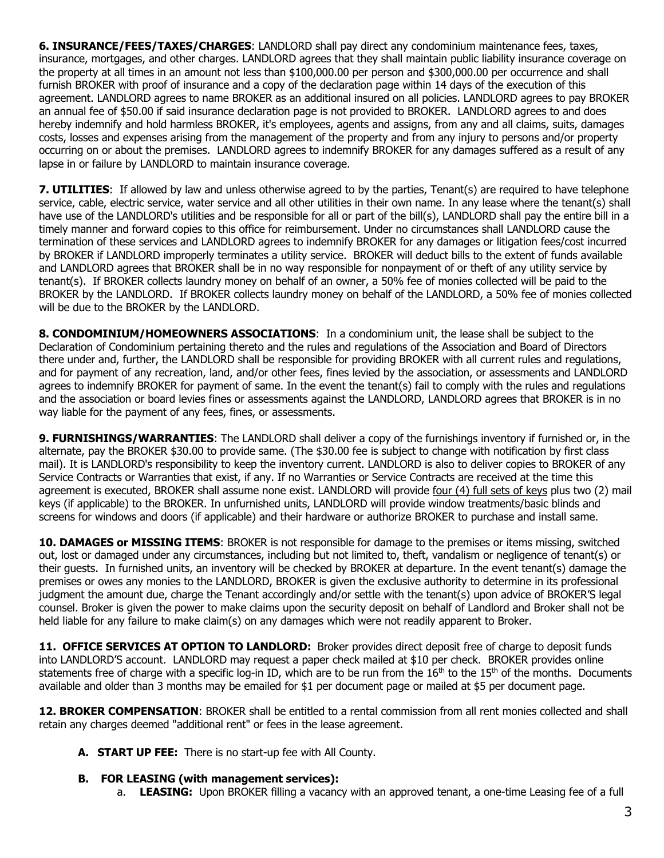**6. INSURANCE/FEES/TAXES/CHARGES**: LANDLORD shall pay direct any condominium maintenance fees, taxes, insurance, mortgages, and other charges. LANDLORD agrees that they shall maintain public liability insurance coverage on the property at all times in an amount not less than \$100,000.00 per person and \$300,000.00 per occurrence and shall furnish BROKER with proof of insurance and a copy of the declaration page within 14 days of the execution of this agreement. LANDLORD agrees to name BROKER as an additional insured on all policies. LANDLORD agrees to pay BROKER an annual fee of \$50.00 if said insurance declaration page is not provided to BROKER. LANDLORD agrees to and does hereby indemnify and hold harmless BROKER, it's employees, agents and assigns, from any and all claims, suits, damages costs, losses and expenses arising from the management of the property and from any injury to persons and/or property occurring on or about the premises. LANDLORD agrees to indemnify BROKER for any damages suffered as a result of any lapse in or failure by LANDLORD to maintain insurance coverage.

**7. UTILITIES:** If allowed by law and unless otherwise agreed to by the parties, Tenant(s) are required to have telephone service, cable, electric service, water service and all other utilities in their own name. In any lease where the tenant(s) shall have use of the LANDLORD's utilities and be responsible for all or part of the bill(s), LANDLORD shall pay the entire bill in a timely manner and forward copies to this office for reimbursement. Under no circumstances shall LANDLORD cause the termination of these services and LANDLORD agrees to indemnify BROKER for any damages or litigation fees/cost incurred by BROKER if LANDLORD improperly terminates a utility service. BROKER will deduct bills to the extent of funds available and LANDLORD agrees that BROKER shall be in no way responsible for nonpayment of or theft of any utility service by tenant(s). If BROKER collects laundry money on behalf of an owner, a 50% fee of monies collected will be paid to the BROKER by the LANDLORD. If BROKER collects laundry money on behalf of the LANDLORD, a 50% fee of monies collected will be due to the BROKER by the LANDLORD.

**8. CONDOMINIUM/HOMEOWNERS ASSOCIATIONS**: In a condominium unit, the lease shall be subject to the Declaration of Condominium pertaining thereto and the rules and regulations of the Association and Board of Directors there under and, further, the LANDLORD shall be responsible for providing BROKER with all current rules and regulations, and for payment of any recreation, land, and/or other fees, fines levied by the association, or assessments and LANDLORD agrees to indemnify BROKER for payment of same. In the event the tenant(s) fail to comply with the rules and regulations and the association or board levies fines or assessments against the LANDLORD, LANDLORD agrees that BROKER is in no way liable for the payment of any fees, fines, or assessments.

**9. FURNISHINGS/WARRANTIES**: The LANDLORD shall deliver a copy of the furnishings inventory if furnished or, in the alternate, pay the BROKER \$30.00 to provide same. (The \$30.00 fee is subject to change with notification by first class mail). It is LANDLORD's responsibility to keep the inventory current. LANDLORD is also to deliver copies to BROKER of any Service Contracts or Warranties that exist, if any. If no Warranties or Service Contracts are received at the time this agreement is executed, BROKER shall assume none exist. LANDLORD will provide four (4) full sets of keys plus two (2) mail keys (if applicable) to the BROKER. In unfurnished units, LANDLORD will provide window treatments/basic blinds and screens for windows and doors (if applicable) and their hardware or authorize BROKER to purchase and install same.

**10. DAMAGES or MISSING ITEMS**: BROKER is not responsible for damage to the premises or items missing, switched out, lost or damaged under any circumstances, including but not limited to, theft, vandalism or negligence of tenant(s) or their guests. In furnished units, an inventory will be checked by BROKER at departure. In the event tenant(s) damage the premises or owes any monies to the LANDLORD, BROKER is given the exclusive authority to determine in its professional judgment the amount due, charge the Tenant accordingly and/or settle with the tenant(s) upon advice of BROKER'S legal counsel. Broker is given the power to make claims upon the security deposit on behalf of Landlord and Broker shall not be held liable for any failure to make claim(s) on any damages which were not readily apparent to Broker.

**11. OFFICE SERVICES AT OPTION TO LANDLORD:** Broker provides direct deposit free of charge to deposit funds into LANDLORD'S account. LANDLORD may request a paper check mailed at \$10 per check. BROKER provides online statements free of charge with a specific log-in ID, which are to be run from the  $16<sup>th</sup>$  to the  $15<sup>th</sup>$  of the months. Documents available and older than 3 months may be emailed for \$1 per document page or mailed at \$5 per document page.

**12. BROKER COMPENSATION**: BROKER shall be entitled to a rental commission from all rent monies collected and shall retain any charges deemed "additional rent" or fees in the lease agreement.

**A. START UP FEE:** There is no start-up fee with All County.

#### **B. FOR LEASING (with management services):**

a. **LEASING:** Upon BROKER filling a vacancy with an approved tenant, a one-time Leasing fee of a full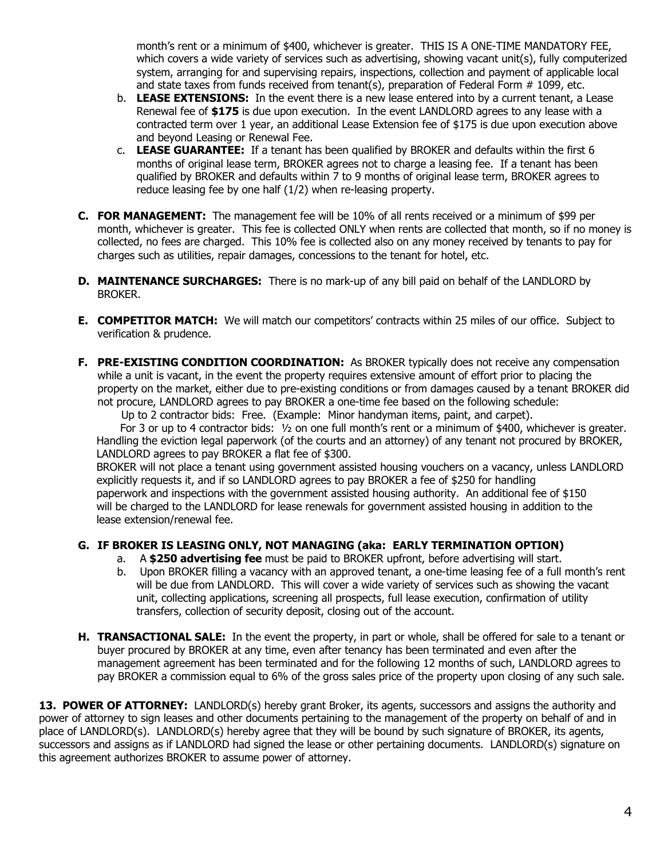month's rent or a minimum of \$400, whichever is greater. THIS IS A ONE-TIME MANDATORY FEE, which covers a wide variety of services such as advertising, showing vacant unit(s), fully computerized system, arranging for and supervising repairs, inspections, collection and payment of applicable local and state taxes from funds received from tenant(s), preparation of Federal Form # 1099, etc.

- b. **LEASE EXTENSIONS:** In the event there is a new lease entered into by a current tenant, a Lease Renewal fee of **\$175** is due upon execution. In the event LANDLORD agrees to any lease with a contracted term over 1 year, an additional Lease Extension fee of \$175 is due upon execution above and beyond Leasing or Renewal Fee.
- c. **LEASE GUARANTEE:** If a tenant has been qualified by BROKER and defaults within the first 6 months of original lease term, BROKER agrees not to charge a leasing fee. If a tenant has been qualified by BROKER and defaults within 7 to 9 months of original lease term, BROKER agrees to reduce leasing fee by one half (1/2) when re-leasing property.
- **C. FOR MANAGEMENT:** The management fee will be 10% of all rents received or a minimum of \$99 per month, whichever is greater. This fee is collected ONLY when rents are collected that month, so if no money is collected, no fees are charged. This 10% fee is collected also on any money received by tenants to pay for charges such as utilities, repair damages, concessions to the tenant for hotel, etc.
- **D. MAINTENANCE SURCHARGES:** There is no mark-up of any bill paid on behalf of the LANDLORD by BROKER.
- **E. COMPETITOR MATCH:** We will match our competitors' contracts within 25 miles of our office. Subject to verification & prudence.
- **F. PRE-EXISTING CONDITION COORDINATION:** As BROKER typically does not receive any compensation while a unit is vacant, in the event the property requires extensive amount of effort prior to placing the property on the market, either due to pre-existing conditions or from damages caused by a tenant BROKER did not procure, LANDLORD agrees to pay BROKER a one-time fee based on the following schedule:

Up to 2 contractor bids: Free. (Example: Minor handyman items, paint, and carpet).

 For 3 or up to 4 contractor bids: ½ on one full month's rent or a minimum of \$400, whichever is greater. Handling the eviction legal paperwork (of the courts and an attorney) of any tenant not procured by BROKER, LANDLORD agrees to pay BROKER a flat fee of \$300.

 BROKER will not place a tenant using government assisted housing vouchers on a vacancy, unless LANDLORD explicitly requests it, and if so LANDLORD agrees to pay BROKER a fee of \$250 for handling paperwork and inspections with the government assisted housing authority. An additional fee of \$150 will be charged to the LANDLORD for lease renewals for government assisted housing in addition to the lease extension/renewal fee.

#### **G. IF BROKER IS LEASING ONLY, NOT MANAGING (aka: EARLY TERMINATION OPTION)**

- a. A **\$250 advertising fee** must be paid to BROKER upfront, before advertising will start.
- b. Upon BROKER filling a vacancy with an approved tenant, a one-time leasing fee of a full month's rent will be due from LANDLORD. This will cover a wide variety of services such as showing the vacant unit, collecting applications, screening all prospects, full lease execution, confirmation of utility transfers, collection of security deposit, closing out of the account.
- **H. TRANSACTIONAL SALE:** In the event the property, in part or whole, shall be offered for sale to a tenant or buyer procured by BROKER at any time, even after tenancy has been terminated and even after the management agreement has been terminated and for the following 12 months of such, LANDLORD agrees to pay BROKER a commission equal to 6% of the gross sales price of the property upon closing of any such sale.

**13. POWER OF ATTORNEY:** LANDLORD(s) hereby grant Broker, its agents, successors and assigns the authority and power of attorney to sign leases and other documents pertaining to the management of the property on behalf of and in place of LANDLORD(s). LANDLORD(s) hereby agree that they will be bound by such signature of BROKER, its agents, successors and assigns as if LANDLORD had signed the lease or other pertaining documents. LANDLORD(s) signature on this agreement authorizes BROKER to assume power of attorney.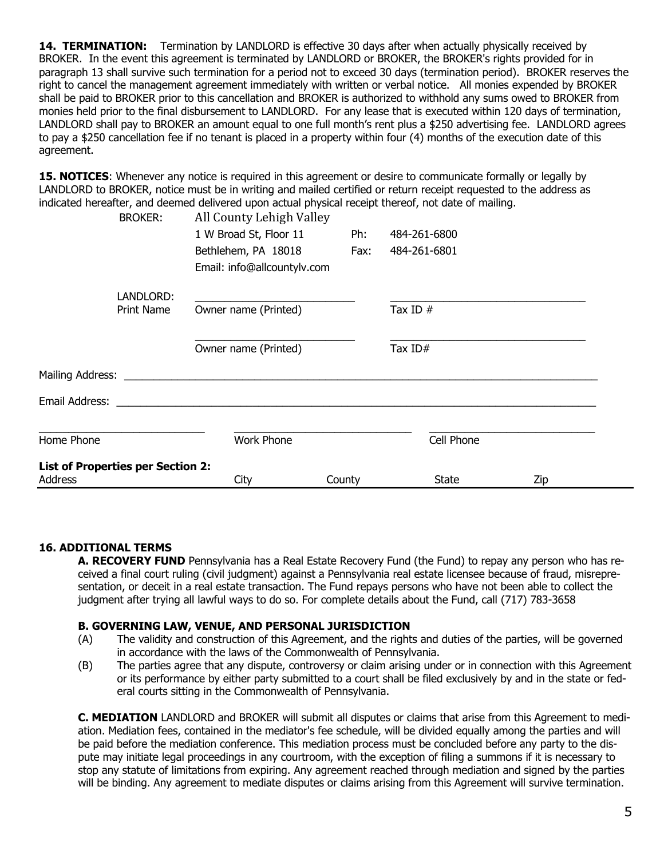**14. TERMINATION:** Termination by LANDLORD is effective 30 days after when actually physically received by BROKER. In the event this agreement is terminated by LANDLORD or BROKER, the BROKER's rights provided for in paragraph 13 shall survive such termination for a period not to exceed 30 days (termination period). BROKER reserves the right to cancel the management agreement immediately with written or verbal notice. All monies expended by BROKER shall be paid to BROKER prior to this cancellation and BROKER is authorized to withhold any sums owed to BROKER from monies held prior to the final disbursement to LANDLORD. For any lease that is executed within 120 days of termination, LANDLORD shall pay to BROKER an amount equal to one full month's rent plus a \$250 advertising fee. LANDLORD agrees to pay a \$250 cancellation fee if no tenant is placed in a property within four (4) months of the execution date of this agreement.

**15. NOTICES**: Whenever any notice is required in this agreement or desire to communicate formally or legally by LANDLORD to BROKER, notice must be in writing and mailed certified or return receipt requested to the address as indicated hereafter, and deemed delivered upon actual physical receipt thereof, not date of mailing.

| <b>List of Properties per Section 2:</b><br><b>Address</b> |                                | City                                                                         | County      | <b>State</b>                 | Zip        |  |
|------------------------------------------------------------|--------------------------------|------------------------------------------------------------------------------|-------------|------------------------------|------------|--|
| Home Phone                                                 |                                | <b>Work Phone</b>                                                            |             |                              | Cell Phone |  |
| Email Address:                                             |                                |                                                                              |             |                              |            |  |
| Mailing Address:                                           |                                |                                                                              |             |                              |            |  |
|                                                            |                                | Owner name (Printed)                                                         |             |                              | Tax $ID#$  |  |
|                                                            | LANDLORD:<br><b>Print Name</b> | Owner name (Printed)                                                         |             | Tax ID $#$                   |            |  |
|                                                            |                                | 1 W Broad St, Floor 11<br>Bethlehem, PA 18018<br>Email: info@allcountylv.com | Ph:<br>Fax: | 484-261-6800<br>484-261-6801 |            |  |
|                                                            | <b>BROKER:</b>                 | All County Lehigh Valley                                                     |             |                              |            |  |

#### **16. ADDITIONAL TERMS**

**A. RECOVERY FUND** Pennsylvania has a Real Estate Recovery Fund (the Fund) to repay any person who has received a final court ruling (civil judgment) against a Pennsylvania real estate licensee because of fraud, misrepresentation, or deceit in a real estate transaction. The Fund repays persons who have not been able to collect the judgment after trying all lawful ways to do so. For complete details about the Fund, call (717) 783-3658

#### **B. GOVERNING LAW, VENUE, AND PERSONAL JURISDICTION**

- (A) The validity and construction of this Agreement, and the rights and duties of the parties, will be governed in accordance with the laws of the Commonwealth of Pennsylvania.
- (B) The parties agree that any dispute, controversy or claim arising under or in connection with this Agreement or its performance by either party submitted to a court shall be filed exclusively by and in the state or federal courts sitting in the Commonwealth of Pennsylvania.

**C. MEDIATION** LANDLORD and BROKER will submit all disputes or claims that arise from this Agreement to mediation. Mediation fees, contained in the mediator's fee schedule, will be divided equally among the parties and will be paid before the mediation conference. This mediation process must be concluded before any party to the dispute may initiate legal proceedings in any courtroom, with the exception of filing a summons if it is necessary to stop any statute of limitations from expiring. Any agreement reached through mediation and signed by the parties will be binding. Any agreement to mediate disputes or claims arising from this Agreement will survive termination.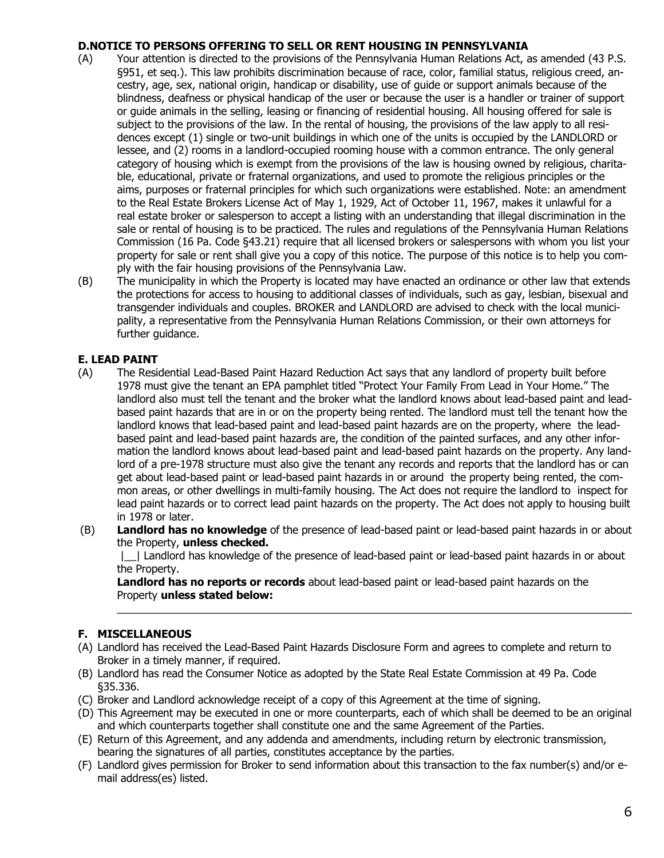#### **D.NOTICE TO PERSONS OFFERING TO SELL OR RENT HOUSING IN PENNSYLVANIA**

- (A) Your attention is directed to the provisions of the Pennsylvania Human Relations Act, as amended (43 P.S. §951, et seq.). This law prohibits discrimination because of race, color, familial status, religious creed, ancestry, age, sex, national origin, handicap or disability, use of guide or support animals because of the blindness, deafness or physical handicap of the user or because the user is a handler or trainer of support or guide animals in the selling, leasing or financing of residential housing. All housing offered for sale is subject to the provisions of the law. In the rental of housing, the provisions of the law apply to all residences except (1) single or two-unit buildings in which one of the units is occupied by the LANDLORD or lessee, and (2) rooms in a landlord-occupied rooming house with a common entrance. The only general category of housing which is exempt from the provisions of the law is housing owned by religious, charitable, educational, private or fraternal organizations, and used to promote the religious principles or the aims, purposes or fraternal principles for which such organizations were established. Note: an amendment to the Real Estate Brokers License Act of May 1, 1929, Act of October 11, 1967, makes it unlawful for a real estate broker or salesperson to accept a listing with an understanding that illegal discrimination in the sale or rental of housing is to be practiced. The rules and regulations of the Pennsylvania Human Relations Commission (16 Pa. Code §43.21) require that all licensed brokers or salespersons with whom you list your property for sale or rent shall give you a copy of this notice. The purpose of this notice is to help you comply with the fair housing provisions of the Pennsylvania Law.
- (B) The municipality in which the Property is located may have enacted an ordinance or other law that extends the protections for access to housing to additional classes of individuals, such as gay, lesbian, bisexual and transgender individuals and couples. BROKER and LANDLORD are advised to check with the local municipality, a representative from the Pennsylvania Human Relations Commission, or their own attorneys for further guidance.

### **E. LEAD PAINT**

- (A) The Residential Lead-Based Paint Hazard Reduction Act says that any landlord of property built before 1978 must give the tenant an EPA pamphlet titled "Protect Your Family From Lead in Your Home." The landlord also must tell the tenant and the broker what the landlord knows about lead-based paint and leadbased paint hazards that are in or on the property being rented. The landlord must tell the tenant how the landlord knows that lead-based paint and lead-based paint hazards are on the property, where the leadbased paint and lead-based paint hazards are, the condition of the painted surfaces, and any other information the landlord knows about lead-based paint and lead-based paint hazards on the property. Any landlord of a pre-1978 structure must also give the tenant any records and reports that the landlord has or can get about lead-based paint or lead-based paint hazards in or around the property being rented, the common areas, or other dwellings in multi-family housing. The Act does not require the landlord to inspect for lead paint hazards or to correct lead paint hazards on the property. The Act does not apply to housing built in 1978 or later.
- (B) **Landlord has no knowledge** of the presence of lead-based paint or lead-based paint hazards in or about the Property, **unless checked.**

|\_\_| Landlord has knowledge of the presence of lead-based paint or lead-based paint hazards in or about the Property.

 $\_$  , and the state of the state of the state of the state of the state of the state of the state of the state of the state of the state of the state of the state of the state of the state of the state of the state of the

**Landlord has no reports or records** about lead-based paint or lead-based paint hazards on the Property **unless stated below:**

#### **F. MISCELLANEOUS**

- (A) Landlord has received the Lead-Based Paint Hazards Disclosure Form and agrees to complete and return to Broker in a timely manner, if required.
- (B) Landlord has read the Consumer Notice as adopted by the State Real Estate Commission at 49 Pa. Code §35.336.
- (C) Broker and Landlord acknowledge receipt of a copy of this Agreement at the time of signing.
- (D) This Agreement may be executed in one or more counterparts, each of which shall be deemed to be an original and which counterparts together shall constitute one and the same Agreement of the Parties.
- (E) Return of this Agreement, and any addenda and amendments, including return by electronic transmission, bearing the signatures of all parties, constitutes acceptance by the parties.
- (F) Landlord gives permission for Broker to send information about this transaction to the fax number(s) and/or email address(es) listed.